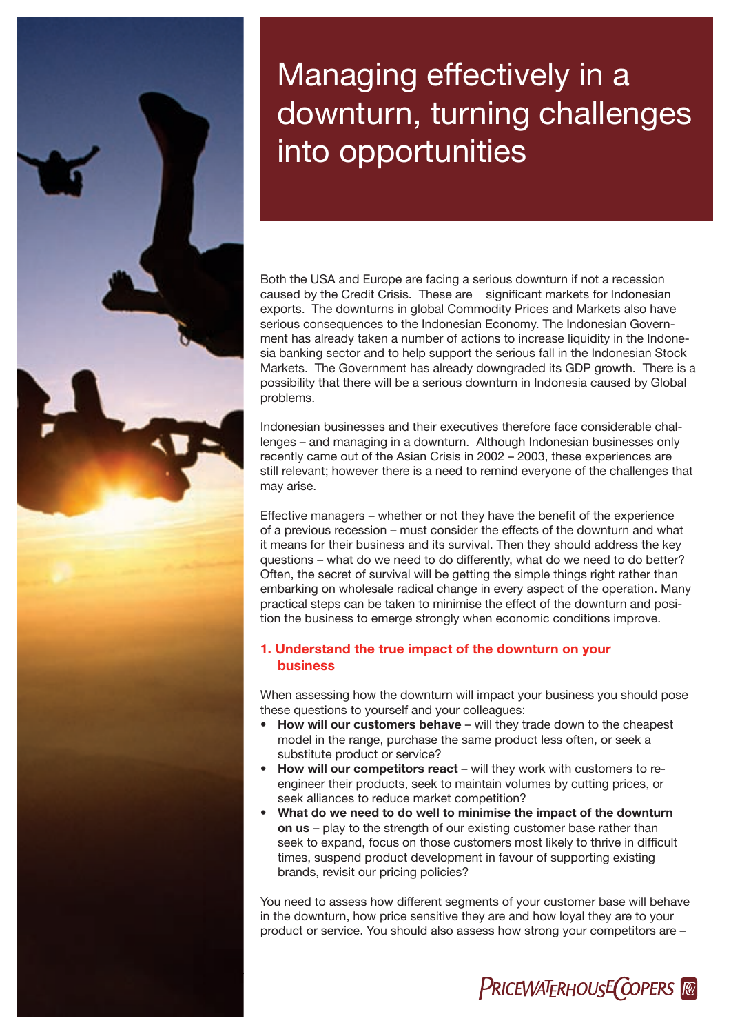# Managing effectively in a downturn, turning challenges into opportunities

Both the USA and Europe are facing a serious downturn if not a recession caused by the Credit Crisis. These are significant markets for Indonesian exports. The downturns in global Commodity Prices and Markets also have serious consequences to the Indonesian Economy. The Indonesian Government has already taken a number of actions to increase liquidity in the Indonesia banking sector and to help support the serious fall in the Indonesian Stock Markets. The Government has already downgraded its GDP growth. There is a possibility that there will be a serious downturn in Indonesia caused by Global problems.

Indonesian businesses and their executives therefore face considerable challenges – and managing in a downturn. Although Indonesian businesses only recently came out of the Asian Crisis in 2002 – 2003, these experiences are still relevant; however there is a need to remind everyone of the challenges that may arise.

Effective managers – whether or not they have the benefit of the experience of a previous recession – must consider the effects of the downturn and what it means for their business and its survival. Then they should address the key questions – what do we need to do differently, what do we need to do better? Often, the secret of survival will be getting the simple things right rather than embarking on wholesale radical change in every aspect of the operation. Many practical steps can be taken to minimise the effect of the downturn and position the business to emerge strongly when economic conditions improve.

#### 1. Understand the true impact of the downturn on your business

When assessing how the downturn will impact your business you should pose these questions to yourself and your colleagues:

- How will our customers behave will they trade down to the cheapest model in the range, purchase the same product less often, or seek a substitute product or service?
- How will our competitors react will they work with customers to reengineer their products, seek to maintain volumes by cutting prices, or seek alliances to reduce market competition?
- What do we need to do well to minimise the impact of the downturn on us – play to the strength of our existing customer base rather than seek to expand, focus on those customers most likely to thrive in difficult times, suspend product development in favour of supporting existing brands, revisit our pricing policies?

You need to assess how different segments of your customer base will behave in the downturn, how price sensitive they are and how loyal they are to your product or service. You should also assess how strong your competitors are –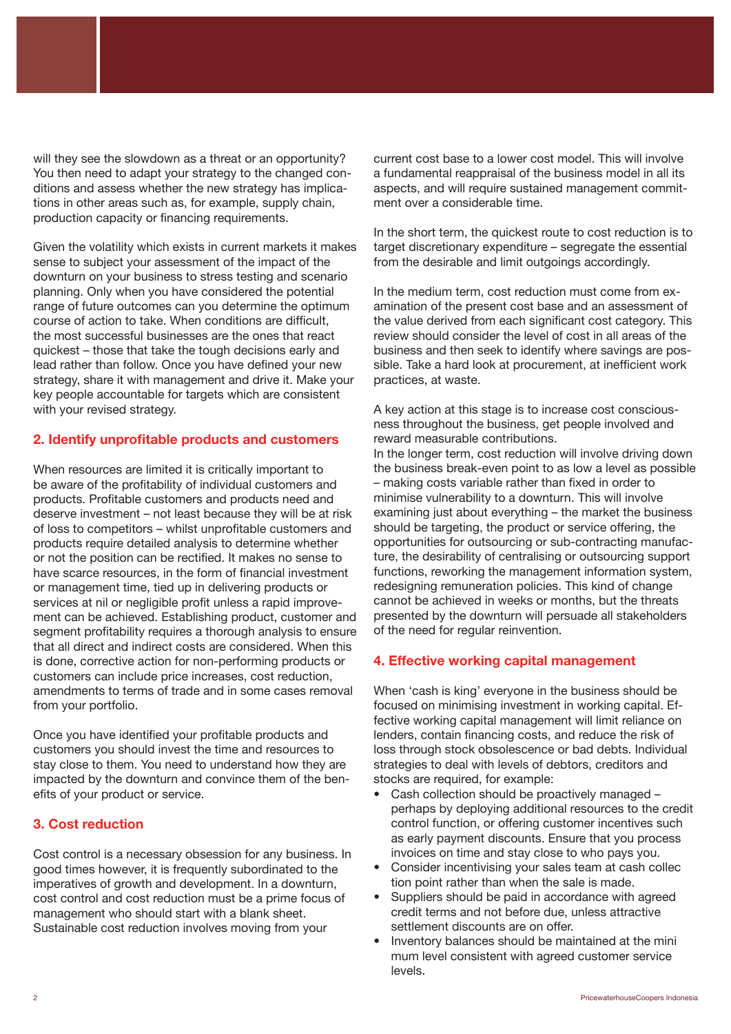will they see the slowdown as a threat or an opportunity? You then need to adapt your strategy to the changed conditions and assess whether the new strategy has implications in other areas such as, for example, supply chain, production capacity or financing requirements.

Given the volatility which exists in current markets it makes sense to subject your assessment of the impact of the downturn on your business to stress testing and scenario planning. Only when you have considered the potential range of future outcomes can you determine the optimum course of action to take. When conditions are difficult, the most successful businesses are the ones that react quickest – those that take the tough decisions early and lead rather than follow. Once you have defined your new strategy, share it with management and drive it. Make your key people accountable for targets which are consistent with your revised strategy.

#### 2. Identify unprofitable products and customers

When resources are limited it is critically important to be aware of the profitability of individual customers and products. Profitable customers and products need and deserve investment – not least because they will be at risk of loss to competitors – whilst unprofitable customers and products require detailed analysis to determine whether or not the position can be rectified. It makes no sense to have scarce resources, in the form of financial investment or management time, tied up in delivering products or services at nil or negligible profit unless a rapid improvement can be achieved. Establishing product, customer and segment profitability requires a thorough analysis to ensure that all direct and indirect costs are considered. When this is done, corrective action for non-performing products or customers can include price increases, cost reduction, amendments to terms of trade and in some cases removal from your portfolio.

Once you have identified your profitable products and customers you should invest the time and resources to stay close to them. You need to understand how they are impacted by the downturn and convince them of the benefits of your product or service.

#### 3. Cost reduction

Cost control is a necessary obsession for any business. In good times however, it is frequently subordinated to the imperatives of growth and development. In a downturn, cost control and cost reduction must be a prime focus of management who should start with a blank sheet. Sustainable cost reduction involves moving from your

current cost base to a lower cost model. This will involve a fundamental reappraisal of the business model in all its aspects, and will require sustained management commitment over a considerable time.

In the short term, the quickest route to cost reduction is to target discretionary expenditure – segregate the essential from the desirable and limit outgoings accordingly.

In the medium term, cost reduction must come from examination of the present cost base and an assessment of the value derived from each significant cost category. This review should consider the level of cost in all areas of the business and then seek to identify where savings are possible. Take a hard look at procurement, at inefficient work practices, at waste.

A key action at this stage is to increase cost consciousness throughout the business, get people involved and reward measurable contributions.

In the longer term, cost reduction will involve driving down the business break-even point to as low a level as possible – making costs variable rather than fixed in order to minimise vulnerability to a downturn. This will involve examining just about everything – the market the business should be targeting, the product or service offering, the opportunities for outsourcing or sub-contracting manufacture, the desirability of centralising or outsourcing support functions, reworking the management information system, redesigning remuneration policies. This kind of change cannot be achieved in weeks or months, but the threats presented by the downturn will persuade all stakeholders of the need for regular reinvention.

#### 4. Effective working capital management

When 'cash is king' everyone in the business should be focused on minimising investment in working capital. Effective working capital management will limit reliance on lenders, contain financing costs, and reduce the risk of loss through stock obsolescence or bad debts. Individual strategies to deal with levels of debtors, creditors and stocks are required, for example:

- Cash collection should be proactively managed perhaps by deploying additional resources to the credit control function, or offering customer incentives such as early payment discounts. Ensure that you process invoices on time and stay close to who pays you.
- Consider incentivising your sales team at cash collec tion point rather than when the sale is made.
- Suppliers should be paid in accordance with agreed credit terms and not before due, unless attractive settlement discounts are on offer.
- Inventory balances should be maintained at the mini mum level consistent with agreed customer service levels.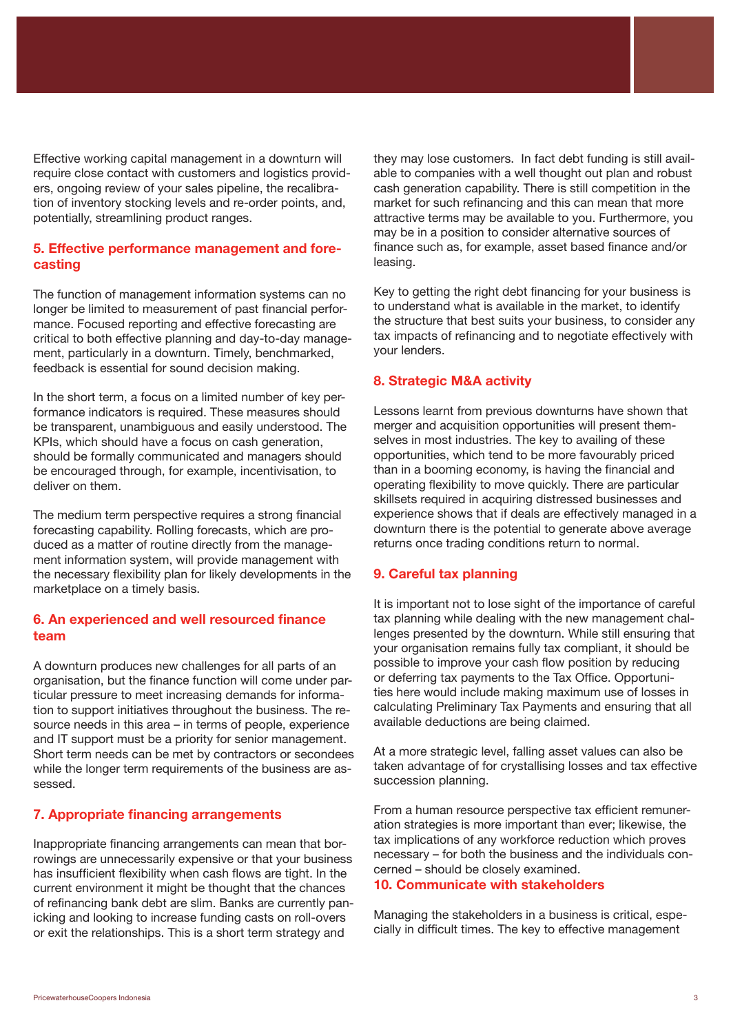Effective working capital management in a downturn will require close contact with customers and logistics providers, ongoing review of your sales pipeline, the recalibration of inventory stocking levels and re-order points, and, potentially, streamlining product ranges.

#### 5. Effective performance management and forecasting

The function of management information systems can no longer be limited to measurement of past financial performance. Focused reporting and effective forecasting are critical to both effective planning and day-to-day management, particularly in a downturn. Timely, benchmarked, feedback is essential for sound decision making.

In the short term, a focus on a limited number of key performance indicators is required. These measures should be transparent, unambiguous and easily understood. The KPIs, which should have a focus on cash generation, should be formally communicated and managers should be encouraged through, for example, incentivisation, to deliver on them.

The medium term perspective requires a strong financial forecasting capability. Rolling forecasts, which are produced as a matter of routine directly from the management information system, will provide management with the necessary flexibility plan for likely developments in the marketplace on a timely basis.

#### 6. An experienced and well resourced finance team

A downturn produces new challenges for all parts of an organisation, but the finance function will come under particular pressure to meet increasing demands for information to support initiatives throughout the business. The resource needs in this area – in terms of people, experience and IT support must be a priority for senior management. Short term needs can be met by contractors or secondees while the longer term requirements of the business are assessed.

#### 7. Appropriate financing arrangements

Inappropriate financing arrangements can mean that borrowings are unnecessarily expensive or that your business has insufficient flexibility when cash flows are tight. In the current environment it might be thought that the chances of refinancing bank debt are slim. Banks are currently panicking and looking to increase funding casts on roll-overs or exit the relationships. This is a short term strategy and

they may lose customers. In fact debt funding is still available to companies with a well thought out plan and robust cash generation capability. There is still competition in the market for such refinancing and this can mean that more attractive terms may be available to you. Furthermore, you may be in a position to consider alternative sources of finance such as, for example, asset based finance and/or leasing.

Key to getting the right debt financing for your business is to understand what is available in the market, to identify the structure that best suits your business, to consider any tax impacts of refinancing and to negotiate effectively with your lenders.

#### 8. Strategic M&A activity

Lessons learnt from previous downturns have shown that merger and acquisition opportunities will present themselves in most industries. The key to availing of these opportunities, which tend to be more favourably priced than in a booming economy, is having the financial and operating flexibility to move quickly. There are particular skillsets required in acquiring distressed businesses and experience shows that if deals are effectively managed in a downturn there is the potential to generate above average returns once trading conditions return to normal.

#### 9. Careful tax planning

It is important not to lose sight of the importance of careful tax planning while dealing with the new management challenges presented by the downturn. While still ensuring that your organisation remains fully tax compliant, it should be possible to improve your cash flow position by reducing or deferring tax payments to the Tax Office. Opportunities here would include making maximum use of losses in calculating Preliminary Tax Payments and ensuring that all available deductions are being claimed.

At a more strategic level, falling asset values can also be taken advantage of for crystallising losses and tax effective succession planning.

From a human resource perspective tax efficient remuneration strategies is more important than ever; likewise, the tax implications of any workforce reduction which proves necessary – for both the business and the individuals concerned – should be closely examined.

#### 10. Communicate with stakeholders

Managing the stakeholders in a business is critical, especially in difficult times. The key to effective management